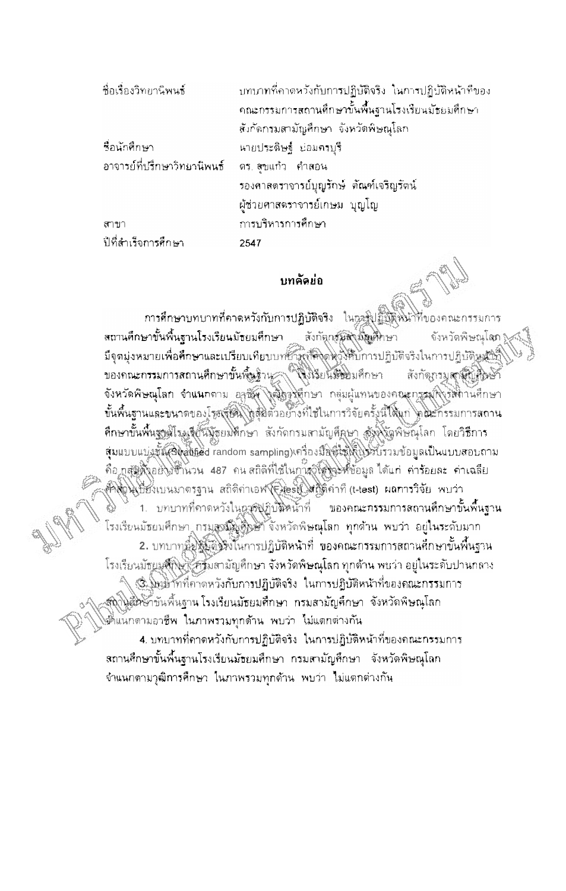| ปีที่สำเร็จการศึกษา                           | 2547                                                     |
|-----------------------------------------------|----------------------------------------------------------|
| สาขา                                          | การบริหารการศึกษา                                        |
|                                               | ผู้ช่วยศาสตราจารย์เกษม บุญโญ                             |
|                                               | รองคาลตราจารย์บุญรักษ์ ตัณฑ์เจริญรัตน์                   |
| อาจารย์ที่ปรึกษาวิทยานิพนธ์ ตร. สุขแก้ว คำสอน |                                                          |
| ชื่อนักศึกษา                                  | นายประดิษฐ์ ย่อมครบุรี                                   |
|                                               | สังกัดกรมสามัญสึกษา จังหวัดพิษณุโลก                      |
|                                               | ึคณะกรรมการสถานศึกษาขั้นพื้นฐานโรงเรียนมัธยมศึกษา        |
| ชื่อเรื่องวิทยานิพนธ์                         | ้บทบาทที่คาดหวังกับการปฏิบัติจริง ในการปฏิบัติหน้าที่ของ |

## บทคัดย่อ

การศึกษาบทบาทที่คาดหวังกับการปฏิบัติจริง ในการปฏิบัติพินาที่ของคณะ สถานคึกษาขั้นพื้นฐานโรงเรียนมัธยมศึกษา สังกัดกรุณสิ่งมัญศึกษา จังหวัดพิษณุโลก<br>มีจุดมุ่งหมายเพื่อศึกษาและเปรียบเทียบบทยาพที่สิ่งคหวังหับการปฏิบัติจริงในการปฏิบัติหม้าก็ จังหวัดพิษณุโลก ของคณะกรรมการสถานศึกษาขั้นพื้นฐาน (พึ่งเรียนมัธยมศึกษา สังกัดกรมสานียมสิ่งษัก จังหวัดพิษณุโลก จำแนกตาม อาชัย ใจมีการศึกษา กลุ่มผู้แทนของคณะกรรมฟิงรัสถานศึกษา ขั้นพื้นฐานและขนาดของโรยเรียน ได้ตุ้มตัวอย่างที่ใช้ในการวิจัยครั้งนี้ได้แก่ ได้ตะกรรมการสถาน **ศึกษาขั้นพื้นฐานิโรมจุ๊ยันมัธยมศึกษ**า สังกัดกรมสามัญศึกษา สังพังดูพิษัณุโลก โดยวิธีการ สุ่มแบบแบ่งขั้นเชิงสู่เบียd random sampling) ครื่องมีสิตใช้เพิ่มจะขั้ววัมข้อมูลเป็นแบบสอบถาม คือ กลุ่มสิ่งอย่างชีวินวน 487 คน สถิติที่ใช้ในการวิโตโจร์ที่ข้อมูล ได้แก่ ค่าร้อยละ ค่าเฉลี่ย คัลติโนปียังเบนมาตรฐาน สถิติค่าเอฟ(ElestLangerinh (t-test) ผลการวิจัย พบว่า 1. บทบาทที่คาดหวังในกรรฟฏิบัติหน้าที่ ของคณะกรรมการสถานศึกษาขั้นพื้นฐาน โรงเรียนมัธยมศึกษา กรมสูงมีผู้ศึกษา จังหวัดพิษณุโลก ทุกด้าน พบว่า อยู่ในระดับมาก 2. บทบาทนี้มังค์มังใช้ในการปฏิบัติหน้าที่ ของคณะกรรมการสถานศึกษาขั้นพื้นฐาน โรงเรียนมัธยมสึกษา ครัมสามัญศึกษา จังหวัดพิษณุโลก ทุกด้าน พบว่า อยู่ในระดับปานกลาง 3. ในยาทที่คาดหวังกับการปฏิบัติจริง ในการปฏิบัติหน้าที่ของคณะกรรมการ สถุในสี่วิชั่วขันพื้นฐาน โรงเรียนมัธยมศึกษา กรมสามัญศึกษา จังหวัดพิษณุโลก มันแกดามอาชีพ ในภาพรวมทุกด้าน พบว่า ไม่แตกต่างกัน

4. บทบาทที่คาดหวังกับการปฏิบัติจริง ในการปฏิบัติหน้าที่ของคณะกรรมการ ิสถานศึกษาขั้นพื้นฐานโรงเรียนมัธยมศึกษา กรมสามัญศึกษา จังหวัดพิษณุโลก ้จำแนกตามวุฒิการศึกษา ในภาพรวมทุกด้าน พบว่า ไม่แตกต่างกัน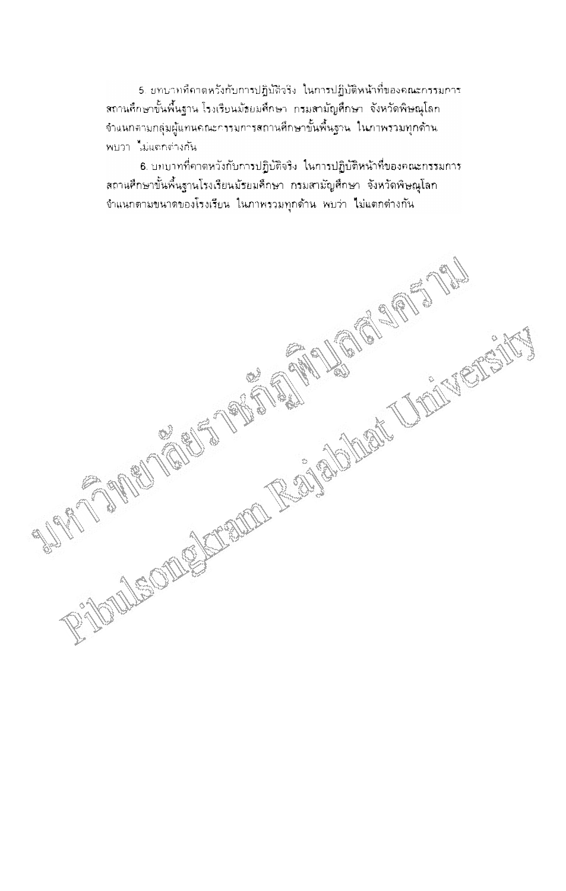5. บทบาทที่คาดหวังกับการปฏิบัติวริง ในการปฏิบัติหน้าที่ของคณะกรรมการ ิสถานคึกษาขั้นพื้นฐาน โรงเรียนมัธยมศึกษา กรมสามัญศึกษา จังหวัดพิษณุโลก ้จำแนกตามกลุ่มผู้แทนคณะกรรมการสถานศึกษาขั้นพื้นฐาน ในภาพรวมทุกด้าน พบว่า ไม่แตกต่างกัน

6. บทบาทที่คาดหวังกับการปฏิบัติจริง ในการปฏิบัติหน้าที่ของคณะกรรมการ RIOUS CONDECTION RECEIVED TO A RECEIVED TO THE CONDECTION ิสถานศึกษาขั้นพื้นฐานโรงเรียนมัธยมศึกษา กรมสามัญศึกษา จังหวัดพิษณุโลก ้จำแนกตามขนาดของโรงเรียน ในภาพรวมทุกด้าน พบว่า ไม่แตกต่างกัน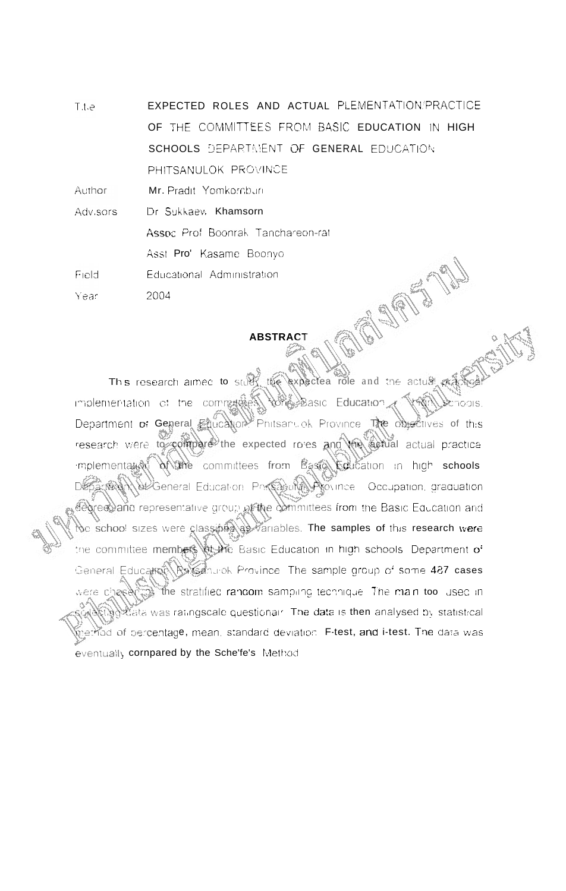EXPECTED ROLES AND ACTUAL PLEMENTATION:PRACTICE F.t.e OF THE COMMITTEES FROM BASIC EDUCATION IN HIGH SCHOOLS DEPARTMENT OF GENERAL EDUCATION PHITSANULOK PROVINCE

Author Mr. Pradit, Yomkornburi

Adv.sors Dr Sukkaev, Khamsorn

Assoc Prof Boonrak Tanchareon-rat

Asst Pro' Kasame Boonvo

Field Educational Administration

2004 Year

## **ABSTRACT**

the expected role and the actual and This research aimed to sture implementation of the communication *More* Basic Education Semodis, Department of General Education Phitsanuok Province The objectives of this research were to compare the expected roles and the actual actual practical of the committees from Basic Editation in high schools mplementation Of General Education Prasa with Arounce Occupation graduation degrees) and representative group of the committees from the Basic Equcation and oe school sizes were classible variables. The samples of this research were the committee members at the Basic Education in high schools. Department of Reisanurok Province. The sample group of some 487 cases General Education the stratified random sampling technique. The main too used in percata was ratingscale questional. The data is then analysed by statistical method of percentage, mean, standard deviation. F-test, and i-test. The data was eventually cornpared by the Sche'fe's Method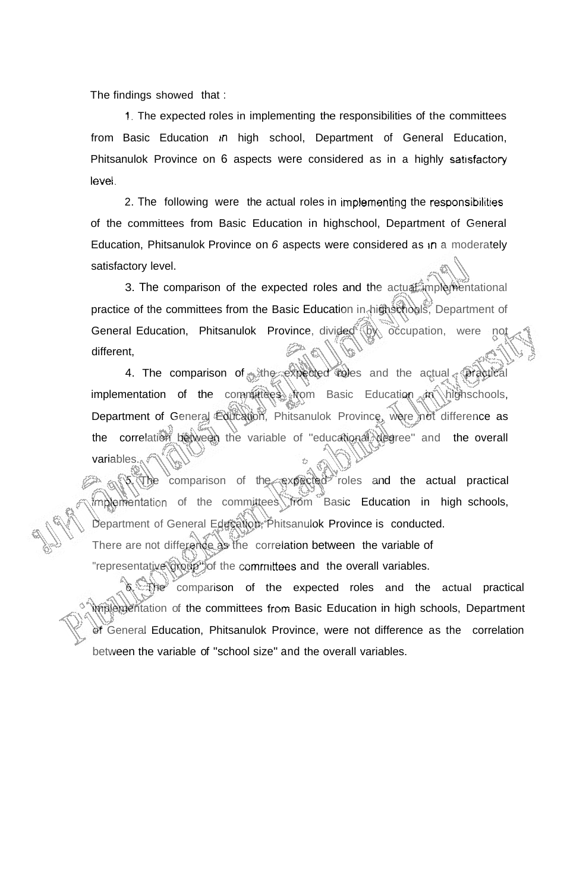The findings showed that :

1. The expected roles in implementing the responsibilities of the committees from Basic Education in high school, Department of General Education, Phitsanulok Province on 6 aspects were considered as in a highly satisfactory level.

2. The following were the actual roles in implementing the responsibilities of the committees from Basic Education in highschool, Department of General Education, Phitsanulok Province on 6 aspects were considered as  $\text{in } a$  moderately satisfactory level.

3. The comparison of the expected roles and the actual implementational practice of the committees from the Basic Education in highschools, Department of General Education, Phitsanulok Province, divided (b) occupation, were different,

4. The comparison of the expected roles and the actual practical implementation of the committees  $\Re$   $\gamma$  highschools, Department of General Education, Phitsanulok Province, were not difference as the correlation between the variable of "educational degree" and the overall variables.

 $5.$  The comparison of the expected roles and the actual practical implementation of the committees from Basic Education in high schools, Department of General Education, Phitsanulok Province is conducted. There are not difference as the correlation between the variable of "representative group" of the committees and the overall variables.

**6.** The comparison of the expected roles and the actual practical implementation of the committees from Basic Education in high schools, Department of General Education, Phitsanulok Province, were not difference as the correlation between the variable of "school size" and the overall variables.